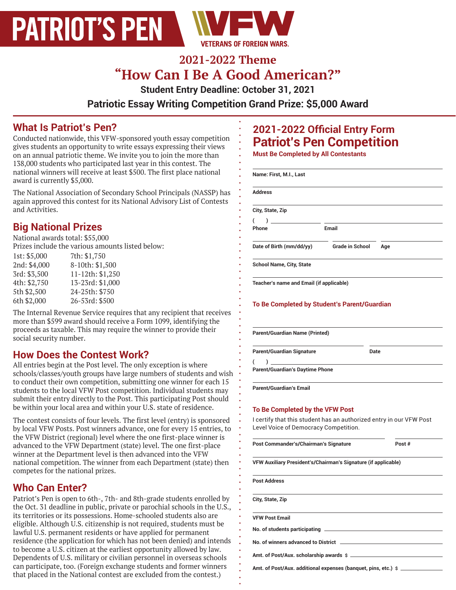

# **2021-2022 Theme "How Can I Be A Good American?"**

**Student Entry Deadline: October 31, 2021** 

**Patriotic Essay Writing Competition Grand Prize: \$5,000 Award** 

 $\bullet$ 

## **What Is Patriot's Pen?**

Conducted nationwide, this VFW-sponsored youth essay competition gives students an opportunity to write essays expressing their views on an annual patriotic theme. We invite you to join the more than 138,000 students who participated last year in this contest. The national winners will receive at least \$500. The first place national award is currently \$5,000.

The National Association of Secondary School Principals (NASSP) has again approved this contest for its National Advisory List of Contests and Activities.

# **Big National Prizes**

National awards total: \$55,000

Prizes include the various amounts listed below:

| 1st: $$5,000$ | 7th: \$1,750     |
|---------------|------------------|
| 2nd: \$4,000  | 8-10th: \$1,500  |
| 3rd: \$3,500  | 11-12th: \$1,250 |
| 4th: \$2,750  | 13-23rd: \$1,000 |
| 5th \$2,500   | 24-25th: \$750   |
| 6th \$2,000   | 26-53rd: \$500   |
|               |                  |

The Internal Revenue Service requires that any recipient that receives more than \$599 award should receive a Form 1099, identifying the proceeds as taxable. This may require the winner to provide their social security number.

## **How Does the Contest Work?**

All entries begin at the Post level. The only exception is where schools/classes/youth groups have large numbers of students and wish to conduct their own competition, submitting one winner for each 15 students to the local VFW Post competition. Individual students may submit their entry directly to the Post. This participating Post should be within your local area and within your U.S. state of residence.

The contest consists of four levels. The first level (entry) is sponsored by local VFW Posts. Post winners advance, one for every 15 entries, to the VFW District (regional) level where the one first-place winner is advanced to the VFW Department (state) level. The one first-place winner at the Department level is then advanced into the VFW national competition. The winner from each Department (state) then competes for the national prizes.

## **Who Can Enter?**

Patriot's Pen is open to 6th-, 7th- and 8th-grade students enrolled by the Oct. 31 deadline in public, private or parochial schools in the U.S., its territories or its possessions. Home-schooled students also are eligible. Although U.S. citizenship is not required, students must be lawful U.S. permanent residents or have applied for permanent residence (the application for which has not been denied) and intends to become a U.S. citizen at the earliest opportunity allowed by law. Dependents of U.S. military or civilian personnel in overseas schools can participate, too. (Foreign exchange students and former winners that placed in the National contest are excluded from the contest.)

## **2021-2022 Official Entry Form Patriot's Pen Competition**

**Must Be Completed by All Contestants** 

| <b>Address</b>                                                                                                                                  |                        |        |
|-------------------------------------------------------------------------------------------------------------------------------------------------|------------------------|--------|
|                                                                                                                                                 |                        |        |
| City, State, Zip                                                                                                                                |                        |        |
| $\lambda$<br>(                                                                                                                                  |                        |        |
| Phone                                                                                                                                           | Email                  |        |
| Date of Birth (mm/dd/yy)                                                                                                                        | <b>Grade in School</b> | Age    |
| <b>School Name, City, State</b>                                                                                                                 |                        |        |
| Teacher's name and Email (if applicable)                                                                                                        |                        |        |
|                                                                                                                                                 |                        |        |
| To Be Completed by Student's Parent/Guardian                                                                                                    |                        |        |
|                                                                                                                                                 |                        |        |
|                                                                                                                                                 |                        |        |
| <b>Parent/Guardian Name (Printed)</b>                                                                                                           |                        |        |
| <b>Parent/Guardian Signature</b>                                                                                                                | Date                   |        |
|                                                                                                                                                 |                        |        |
| )<br>(                                                                                                                                          |                        |        |
|                                                                                                                                                 |                        |        |
|                                                                                                                                                 |                        |        |
| <b>Parent/Guardian's Daytime Phone</b>                                                                                                          |                        |        |
| <b>Parent/Guardian's Email</b>                                                                                                                  |                        |        |
|                                                                                                                                                 |                        |        |
|                                                                                                                                                 |                        |        |
|                                                                                                                                                 |                        |        |
| Level Voice of Democracy Competition.                                                                                                           |                        |        |
|                                                                                                                                                 |                        | Post # |
| To Be Completed by the VFW Post<br>I certify that this student has an authorized entry in our VFW Post<br>Post Commander's/Chairman's Signature |                        |        |
| VFW Auxiliary President's/Chairman's Signature (if applicable)                                                                                  |                        |        |
|                                                                                                                                                 |                        |        |
| <b>Post Address</b>                                                                                                                             |                        |        |
|                                                                                                                                                 |                        |        |
| City, State, Zip                                                                                                                                |                        |        |
|                                                                                                                                                 |                        |        |
| <b>VFW Post Email</b>                                                                                                                           |                        |        |
|                                                                                                                                                 |                        |        |
|                                                                                                                                                 |                        |        |
|                                                                                                                                                 |                        |        |